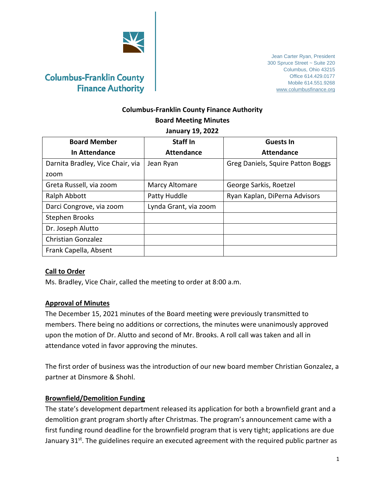

## **Columbus-Franklin County Finance Authority Board Meeting Minutes**

#### **January 19, 2022**

| <b>Board Member</b>              | Staff In              | <b>Guests In</b>                  |
|----------------------------------|-----------------------|-----------------------------------|
| In Attendance                    | <b>Attendance</b>     | <b>Attendance</b>                 |
| Darnita Bradley, Vice Chair, via | Jean Ryan             | Greg Daniels, Squire Patton Boggs |
| zoom                             |                       |                                   |
| Greta Russell, via zoom          | Marcy Altomare        | George Sarkis, Roetzel            |
| Ralph Abbott                     | Patty Huddle          | Ryan Kaplan, DiPerna Advisors     |
| Darci Congrove, via zoom         | Lynda Grant, via zoom |                                   |
| Stephen Brooks                   |                       |                                   |
| Dr. Joseph Alutto                |                       |                                   |
| <b>Christian Gonzalez</b>        |                       |                                   |
| Frank Capella, Absent            |                       |                                   |

#### **Call to Order**

Ms. Bradley, Vice Chair, called the meeting to order at 8:00 a.m.

#### **Approval of Minutes**

The December 15, 2021 minutes of the Board meeting were previously transmitted to members. There being no additions or corrections, the minutes were unanimously approved upon the motion of Dr. Alutto and second of Mr. Brooks. A roll call was taken and all in attendance voted in favor approving the minutes.

The first order of business was the introduction of our new board member Christian Gonzalez, a partner at Dinsmore & Shohl.

#### **Brownfield/Demolition Funding**

The state's development department released its application for both a brownfield grant and a demolition grant program shortly after Christmas. The program's announcement came with a first funding round deadline for the brownfield program that is very tight; applications are due January 31 $st$ . The guidelines require an executed agreement with the required public partner as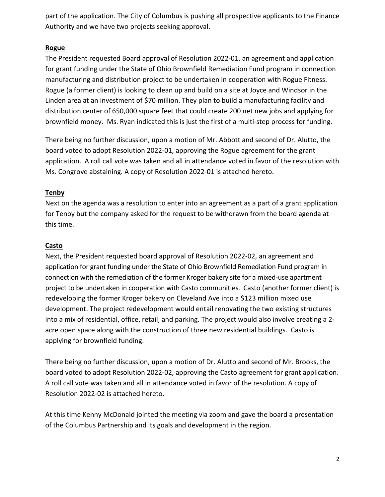part of the application. The City of Columbus is pushing all prospective applicants to the Finance Authority and we have two projects seeking approval.

#### **Rogue**

The President requested Board approval of Resolution 2022-01, an agreement and application for grant funding under the State of Ohio Brownfield Remediation Fund program in connection manufacturing and distribution project to be undertaken in cooperation with Rogue Fitness. Rogue (a former client) is looking to clean up and build on a site at Joyce and Windsor in the Linden area at an investment of \$70 million. They plan to build a manufacturing facility and distribution center of 650,000 square feet that could create 200 net new jobs and applying for brownfield money. Ms. Ryan indicated this is just the first of a multi-step process for funding.

There being no further discussion, upon a motion of Mr. Abbott and second of Dr. Alutto, the board voted to adopt Resolution 2022-01, approving the Rogue agreement for the grant application. A roll call vote was taken and all in attendance voted in favor of the resolution with Ms. Congrove abstaining. A copy of Resolution 2022-01 is attached hereto.

## **Tenby**

Next on the agenda was a resolution to enter into an agreement as a part of a grant application for Tenby but the company asked for the request to be withdrawn from the board agenda at this time.

#### **Casto**

Next, the President requested board approval of Resolution 2022-02, an agreement and application for grant funding under the State of Ohio Brownfield Remediation Fund program in connection with the remediation of the former Kroger bakery site for a mixed-use apartment project to be undertaken in cooperation with Casto communities. Casto (another former client) is redeveloping the former Kroger bakery on Cleveland Ave into a \$123 million mixed use development. The project redevelopment would entail renovating the two existing structures into a mix of residential, office, retail, and parking. The project would also involve creating a 2 acre open space along with the construction of three new residential buildings. Casto is applying for brownfield funding.

There being no further discussion, upon a motion of Dr. Alutto and second of Mr. Brooks, the board voted to adopt Resolution 2022-02, approving the Casto agreement for grant application. A roll call vote was taken and all in attendance voted in favor of the resolution. A copy of Resolution 2022-02 is attached hereto.

At this time Kenny McDonald jointed the meeting via zoom and gave the board a presentation of the Columbus Partnership and its goals and development in the region.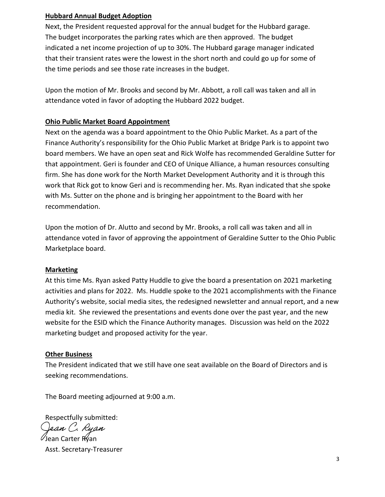#### **Hubbard Annual Budget Adoption**

Next, the President requested approval for the annual budget for the Hubbard garage. The budget incorporates the parking rates which are then approved. The budget indicated a net income projection of up to 30%. The Hubbard garage manager indicated that their transient rates were the lowest in the short north and could go up for some of the time periods and see those rate increases in the budget.

Upon the motion of Mr. Brooks and second by Mr. Abbott, a roll call was taken and all in attendance voted in favor of adopting the Hubbard 2022 budget.

#### **Ohio Public Market Board Appointment**

Next on the agenda was a board appointment to the Ohio Public Market. As a part of the Finance Authority's responsibility for the Ohio Public Market at Bridge Park is to appoint two board members. We have an open seat and Rick Wolfe has recommended Geraldine Sutter for that appointment. Geri is founder and CEO of Unique Alliance, a human resources consulting firm. She has done work for the North Market Development Authority and it is through this work that Rick got to know Geri and is recommending her. Ms. Ryan indicated that she spoke with Ms. Sutter on the phone and is bringing her appointment to the Board with her recommendation.

Upon the motion of Dr. Alutto and second by Mr. Brooks, a roll call was taken and all in attendance voted in favor of approving the appointment of Geraldine Sutter to the Ohio Public Marketplace board.

#### **Marketing**

At this time Ms. Ryan asked Patty Huddle to give the board a presentation on 2021 marketing activities and plans for 2022. Ms. Huddle spoke to the 2021 accomplishments with the Finance Authority's website, social media sites, the redesigned newsletter and annual report, and a new media kit. She reviewed the presentations and events done over the past year, and the new website for the ESID which the Finance Authority manages. Discussion was held on the 2022 marketing budget and proposed activity for the year.

#### **Other Business**

The President indicated that we still have one seat available on the Board of Directors and is seeking recommendations.

The Board meeting adjourned at 9:00 a.m.

Respectfully submitted: Jean C. Ryan Jean Carter Ryan

Asst. Secretary-Treasurer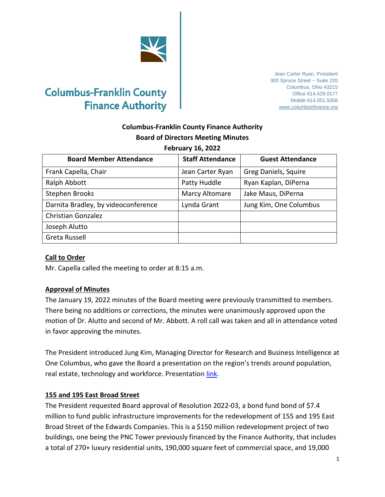

# **Columbus-Franklin County Finance Authority**

Jean Carter Ryan, President 300 Spruce Street ~ Suite 220 Columbus, Ohio 43215 Office 614.429.0177 Mobile 614.551.9268 [www.columbusfinance.org](http://www.columbusfinance.org/)

## **Columbus-Franklin County Finance Authority Board of Directors Meeting Minutes**

#### **February 16, 2022**

| <b>Board Member Attendance</b>      | <b>Staff Attendance</b> | <b>Guest Attendance</b> |
|-------------------------------------|-------------------------|-------------------------|
| Frank Capella, Chair                | Jean Carter Ryan        | Greg Daniels, Squire    |
| Ralph Abbott                        | Patty Huddle            | Ryan Kaplan, DiPerna    |
| Stephen Brooks                      | Marcy Altomare          | Jake Maus, DiPerna      |
| Darnita Bradley, by videoconference | Lynda Grant             | Jung Kim, One Columbus  |
| <b>Christian Gonzalez</b>           |                         |                         |
| Joseph Alutto                       |                         |                         |
| Greta Russell                       |                         |                         |

#### **Call to Order**

Mr. Capella called the meeting to order at 8:15 a.m.

#### **Approval of Minutes**

The January 19, 2022 minutes of the Board meeting were previously transmitted to members. There being no additions or corrections, the minutes were unanimously approved upon the motion of Dr. Alutto and second of Mr. Abbott. A roll call was taken and all in attendance voted in favor approving the minutes.

The President introduced Jung Kim, Managing Director for Research and Business Intelligence at One Columbus, who gave the Board a presentation on the region's trends around population, real estate, technology and workforce. Presentation [link.](https://columbusregion.sharefile.com/d-s94d18b2afa9345b98c2960bcb99dfac9)

#### **155 and 195 East Broad Street**

The President requested Board approval of Resolution 2022-03, a bond fund bond of \$7.4 million to fund public infrastructure improvements for the redevelopment of 155 and 195 East Broad Street of the Edwards Companies. This is a \$150 million redevelopment project of two buildings, one being the PNC Tower previously financed by the Finance Authority, that includes a total of 270+ luxury residential units, 190,000 square feet of commercial space, and 19,000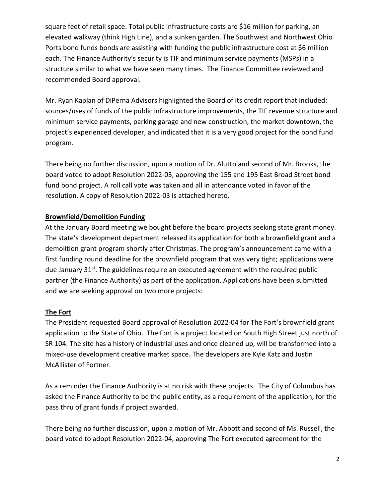square feet of retail space. Total public infrastructure costs are \$16 million for parking, an elevated walkway (think High Line), and a sunken garden. The Southwest and Northwest Ohio Ports bond funds bonds are assisting with funding the public infrastructure cost at \$6 million each. The Finance Authority's security is TIF and minimum service payments (MSPs) in a structure similar to what we have seen many times. The Finance Committee reviewed and recommended Board approval.

Mr. Ryan Kaplan of DiPerna Advisors highlighted the Board of its credit report that included: sources/uses of funds of the public infrastructure improvements, the TIF revenue structure and minimum service payments, parking garage and new construction, the market downtown, the project's experienced developer, and indicated that it is a very good project for the bond fund program.

There being no further discussion, upon a motion of Dr. Alutto and second of Mr. Brooks, the board voted to adopt Resolution 2022-03, approving the 155 and 195 East Broad Street bond fund bond project. A roll call vote was taken and all in attendance voted in favor of the resolution. A copy of Resolution 2022-03 is attached hereto.

#### **Brownfield/Demolition Funding**

At the January Board meeting we bought before the board projects seeking state grant money. The state's development department released its application for both a brownfield grant and a demolition grant program shortly after Christmas. The program's announcement came with a first funding round deadline for the brownfield program that was very tight; applications were due January 31<sup>st</sup>. The guidelines require an executed agreement with the required public partner (the Finance Authority) as part of the application. Applications have been submitted and we are seeking approval on two more projects:

#### **The Fort**

The President requested Board approval of Resolution 2022-04 for The Fort's brownfield grant application to the State of Ohio. The Fort is a project located on South High Street just north of SR 104. The site has a history of industrial uses and once cleaned up, will be transformed into a mixed-use development creative market space. The developers are Kyle Katz and Justin McAllister of Fortner.

As a reminder the Finance Authority is at no risk with these projects. The City of Columbus has asked the Finance Authority to be the public entity, as a requirement of the application, for the pass thru of grant funds if project awarded.

There being no further discussion, upon a motion of Mr. Abbott and second of Ms. Russell, the board voted to adopt Resolution 2022-04, approving The Fort executed agreement for the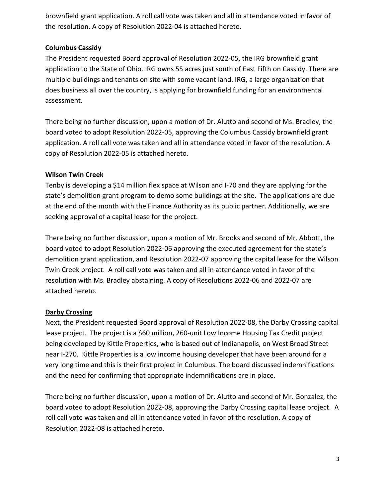brownfield grant application. A roll call vote was taken and all in attendance voted in favor of the resolution. A copy of Resolution 2022-04 is attached hereto.

#### **Columbus Cassidy**

The President requested Board approval of Resolution 2022-05, the IRG brownfield grant application to the State of Ohio. IRG owns 55 acres just south of East Fifth on Cassidy. There are multiple buildings and tenants on site with some vacant land. IRG, a large organization that does business all over the country, is applying for brownfield funding for an environmental assessment.

There being no further discussion, upon a motion of Dr. Alutto and second of Ms. Bradley, the board voted to adopt Resolution 2022-05, approving the Columbus Cassidy brownfield grant application. A roll call vote was taken and all in attendance voted in favor of the resolution. A copy of Resolution 2022-05 is attached hereto.

### **Wilson Twin Creek**

Tenby is developing a \$14 million flex space at Wilson and I-70 and they are applying for the state's demolition grant program to demo some buildings at the site. The applications are due at the end of the month with the Finance Authority as its public partner. Additionally, we are seeking approval of a capital lease for the project.

There being no further discussion, upon a motion of Mr. Brooks and second of Mr. Abbott, the board voted to adopt Resolution 2022-06 approving the executed agreement for the state's demolition grant application, and Resolution 2022-07 approving the capital lease for the Wilson Twin Creek project. A roll call vote was taken and all in attendance voted in favor of the resolution with Ms. Bradley abstaining. A copy of Resolutions 2022-06 and 2022-07 are attached hereto.

## **Darby Crossing**

Next, the President requested Board approval of Resolution 2022-08, the Darby Crossing capital lease project. The project is a \$60 million, 260-unit Low Income Housing Tax Credit project being developed by Kittle Properties, who is based out of Indianapolis, on West Broad Street near I-270. Kittle Properties is a low income housing developer that have been around for a very long time and this is their first project in Columbus. The board discussed indemnifications and the need for confirming that appropriate indemnifications are in place.

There being no further discussion, upon a motion of Dr. Alutto and second of Mr. Gonzalez, the board voted to adopt Resolution 2022-08, approving the Darby Crossing capital lease project. A roll call vote was taken and all in attendance voted in favor of the resolution. A copy of Resolution 2022-08 is attached hereto.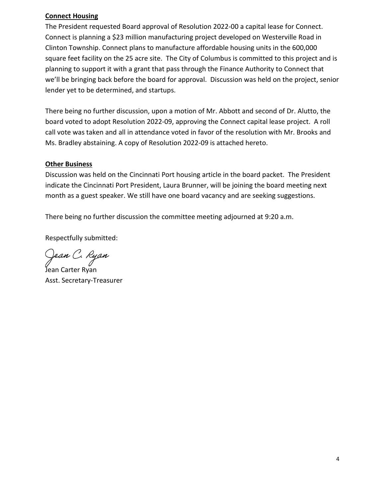#### **Connect Housing**

The President requested Board approval of Resolution 2022-00 a capital lease for Connect. Connect is planning a \$23 million manufacturing project developed on Westerville Road in Clinton Township. Connect plans to manufacture affordable housing units in the 600,000 square feet facility on the 25 acre site. The City of Columbus is committed to this project and is planning to support it with a grant that pass through the Finance Authority to Connect that we'll be bringing back before the board for approval. Discussion was held on the project, senior lender yet to be determined, and startups.

There being no further discussion, upon a motion of Mr. Abbott and second of Dr. Alutto, the board voted to adopt Resolution 2022-09, approving the Connect capital lease project. A roll call vote was taken and all in attendance voted in favor of the resolution with Mr. Brooks and Ms. Bradley abstaining. A copy of Resolution 2022-09 is attached hereto.

#### **Other Business**

Discussion was held on the Cincinnati Port housing article in the board packet. The President indicate the Cincinnati Port President, Laura Brunner, will be joining the board meeting next month as a guest speaker. We still have one board vacancy and are seeking suggestions.

There being no further discussion the committee meeting adjourned at 9:20 a.m.

Respectfully submitted:

Ge*an C. Ryan*<br>Jean Carter Ryan

Asst. Secretary-Treasurer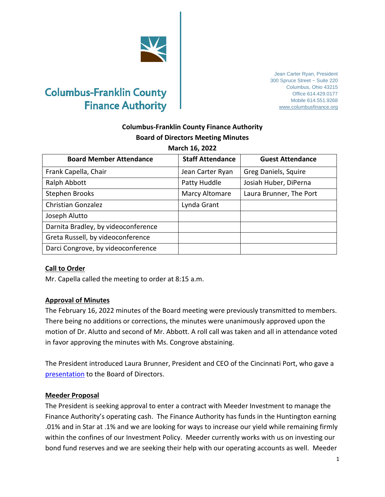

# **Columbus-Franklin County Finance Authority**

Jean Carter Ryan, President 300 Spruce Street ~ Suite 220 Columbus, Ohio 43215 Office 614.429.0177 Mobile 614.551.9268 [www.columbusfinance.org](http://www.columbusfinance.org/)

## **Columbus-Franklin County Finance Authority Board of Directors Meeting Minutes**

|  | March 16, 2022 |  |
|--|----------------|--|
|  |                |  |

| <b>Board Member Attendance</b>      | <b>Staff Attendance</b> | <b>Guest Attendance</b> |
|-------------------------------------|-------------------------|-------------------------|
| Frank Capella, Chair                | Jean Carter Ryan        | Greg Daniels, Squire    |
| Ralph Abbott                        | Patty Huddle            | Josiah Huber, DiPerna   |
| Stephen Brooks                      | <b>Marcy Altomare</b>   | Laura Brunner, The Port |
| <b>Christian Gonzalez</b>           | Lynda Grant             |                         |
| Joseph Alutto                       |                         |                         |
| Darnita Bradley, by videoconference |                         |                         |
| Greta Russell, by videoconference   |                         |                         |
| Darci Congrove, by videoconference  |                         |                         |

#### **Call to Order**

Mr. Capella called the meeting to order at 8:15 a.m.

#### **Approval of Minutes**

The February 16, 2022 minutes of the Board meeting were previously transmitted to members. There being no additions or corrections, the minutes were unanimously approved upon the motion of Dr. Alutto and second of Mr. Abbott. A roll call was taken and all in attendance voted in favor approving the minutes with Ms. Congrove abstaining.

The President introduced Laura Brunner, President and CEO of the Cincinnati Port, who gave a presentation to the Board of Directors.

#### **Meeder Proposal**

The President is seeking approval to enter a contract with Meeder Investment to manage the Finance Authority's operating cash. The Finance Authority has funds in the Huntington earning .01% and in Star at .1% and we are looking for ways to increase our yield while remaining firmly within the confines of our Investment Policy. Meeder currently works with us on investing our bond fund reserves and we are seeking their help with our operating accounts as well. Meeder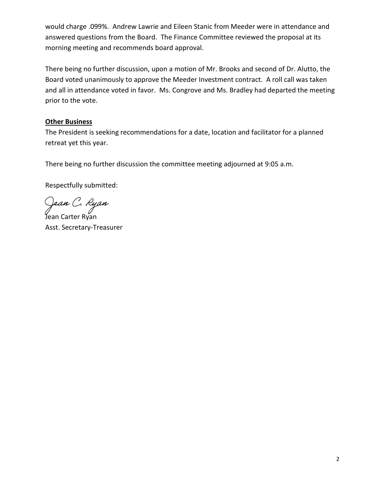would charge .099%. Andrew Lawrie and Eileen Stanic from Meeder were in attendance and answered questions from the Board. The Finance Committee reviewed the proposal at its morning meeting and recommends board approval.

There being no further discussion, upon a motion of Mr. Brooks and second of Dr. Alutto, the Board voted unanimously to approve the Meeder Investment contract. A roll call was taken and all in attendance voted in favor. Ms. Congrove and Ms. Bradley had departed the meeting prior to the vote.

### **Other Business**

The President is seeking recommendations for a date, location and facilitator for a planned retreat yet this year.

There being no further discussion the committee meeting adjourned at 9:05 a.m.

Respectfully submitted:

Ge*an C. Ryan*<br>Jean Carter Ryan

Asst. Secretary-Treasurer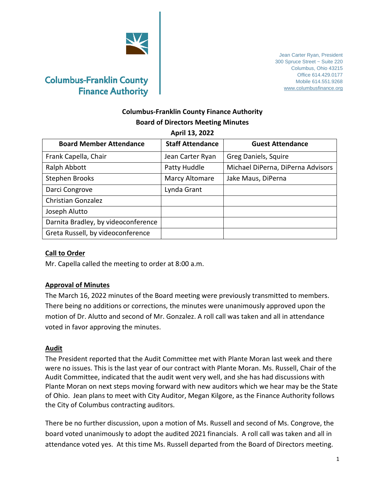

Jean Carter Ryan, President 300 Spruce Street ~ Suite 220 Columbus, Ohio 43215 Office 614.429.0177 Mobile 614.551.9268 [www.columbusfinance.org](http://www.columbusfinance.org/)

## **Columbus-Franklin County Finance Authority Board of Directors Meeting Minutes**

**April 13, 2022**

| <b>Board Member Attendance</b>      | <b>Staff Attendance</b> | <b>Guest Attendance</b>           |
|-------------------------------------|-------------------------|-----------------------------------|
| Frank Capella, Chair                | Jean Carter Ryan        | Greg Daniels, Squire              |
| Ralph Abbott                        | Patty Huddle            | Michael DiPerna, DiPerna Advisors |
| <b>Stephen Brooks</b>               | Marcy Altomare          | Jake Maus, DiPerna                |
| Darci Congrove                      | Lynda Grant             |                                   |
| <b>Christian Gonzalez</b>           |                         |                                   |
| Joseph Alutto                       |                         |                                   |
| Darnita Bradley, by videoconference |                         |                                   |
| Greta Russell, by videoconference   |                         |                                   |

#### **Call to Order**

Mr. Capella called the meeting to order at 8:00 a.m.

#### **Approval of Minutes**

The March 16, 2022 minutes of the Board meeting were previously transmitted to members. There being no additions or corrections, the minutes were unanimously approved upon the motion of Dr. Alutto and second of Mr. Gonzalez. A roll call was taken and all in attendance voted in favor approving the minutes.

#### **Audit**

The President reported that the Audit Committee met with Plante Moran last week and there were no issues. This is the last year of our contract with Plante Moran. Ms. Russell, Chair of the Audit Committee, indicated that the audit went very well, and she has had discussions with Plante Moran on next steps moving forward with new auditors which we hear may be the State of Ohio. Jean plans to meet with City Auditor, Megan Kilgore, as the Finance Authority follows the City of Columbus contracting auditors.

There be no further discussion, upon a motion of Ms. Russell and second of Ms. Congrove, the board voted unanimously to adopt the audited 2021 financials. A roll call was taken and all in attendance voted yes. At this time Ms. Russell departed from the Board of Directors meeting.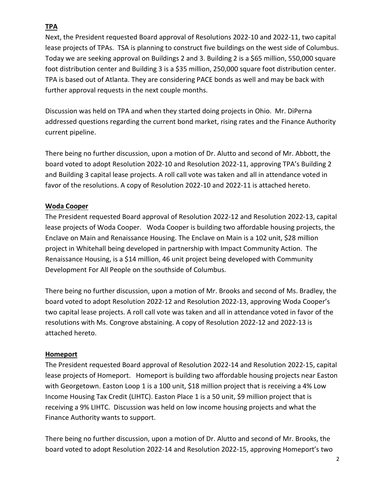## **TPA**

Next, the President requested Board approval of Resolutions 2022-10 and 2022-11, two capital lease projects of TPAs. TSA is planning to construct five buildings on the west side of Columbus. Today we are seeking approval on Buildings 2 and 3. Building 2 is a \$65 million, 550,000 square foot distribution center and Building 3 is a \$35 million, 250,000 square foot distribution center. TPA is based out of Atlanta. They are considering PACE bonds as well and may be back with further approval requests in the next couple months.

Discussion was held on TPA and when they started doing projects in Ohio. Mr. DiPerna addressed questions regarding the current bond market, rising rates and the Finance Authority current pipeline.

There being no further discussion, upon a motion of Dr. Alutto and second of Mr. Abbott, the board voted to adopt Resolution 2022-10 and Resolution 2022-11, approving TPA's Building 2 and Building 3 capital lease projects. A roll call vote was taken and all in attendance voted in favor of the resolutions. A copy of Resolution 2022-10 and 2022-11 is attached hereto.

## **Woda Cooper**

The President requested Board approval of Resolution 2022-12 and Resolution 2022-13, capital lease projects of Woda Cooper. Woda Cooper is building two affordable housing projects, the Enclave on Main and Renaissance Housing. The Enclave on Main is a 102 unit, \$28 million project in Whitehall being developed in partnership with Impact Community Action. The Renaissance Housing, is a \$14 million, 46 unit project being developed with Community Development For All People on the southside of Columbus.

There being no further discussion, upon a motion of Mr. Brooks and second of Ms. Bradley, the board voted to adopt Resolution 2022-12 and Resolution 2022-13, approving Woda Cooper's two capital lease projects. A roll call vote was taken and all in attendance voted in favor of the resolutions with Ms. Congrove abstaining. A copy of Resolution 2022-12 and 2022-13 is attached hereto.

#### **Homeport**

The President requested Board approval of Resolution 2022-14 and Resolution 2022-15, capital lease projects of Homeport. Homeport is building two affordable housing projects near Easton with Georgetown. Easton Loop 1 is a 100 unit, \$18 million project that is receiving a 4% Low Income Housing Tax Credit (LIHTC). Easton Place 1 is a 50 unit, \$9 million project that is receiving a 9% LIHTC. Discussion was held on low income housing projects and what the Finance Authority wants to support.

There being no further discussion, upon a motion of Dr. Alutto and second of Mr. Brooks, the board voted to adopt Resolution 2022-14 and Resolution 2022-15, approving Homeport's two